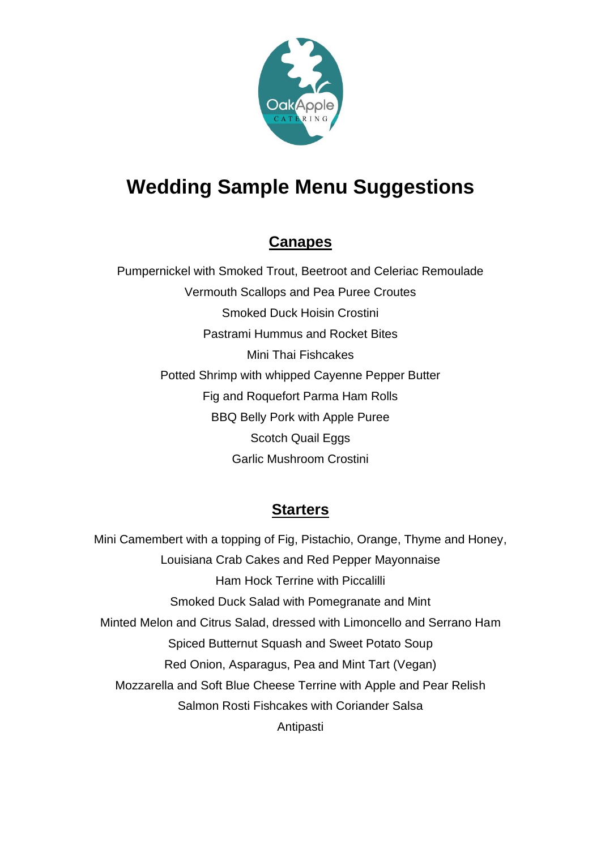

# **Wedding Sample Menu Suggestions**

# **Canapes**

Pumpernickel with Smoked Trout, Beetroot and Celeriac Remoulade Vermouth Scallops and Pea Puree Croutes Smoked Duck Hoisin Crostini Pastrami Hummus and Rocket Bites Mini Thai Fishcakes Potted Shrimp with whipped Cayenne Pepper Butter Fig and Roquefort Parma Ham Rolls BBQ Belly Pork with Apple Puree Scotch Quail Eggs Garlic Mushroom Crostini

## **Starters**

Mini Camembert with a topping of Fig, Pistachio, Orange, Thyme and Honey, Louisiana Crab Cakes and Red Pepper Mayonnaise Ham Hock Terrine with Piccalilli Smoked Duck Salad with Pomegranate and Mint Minted Melon and Citrus Salad, dressed with Limoncello and Serrano Ham Spiced Butternut Squash and Sweet Potato Soup Red Onion, Asparagus, Pea and Mint Tart (Vegan) Mozzarella and Soft Blue Cheese Terrine with Apple and Pear Relish Salmon Rosti Fishcakes with Coriander Salsa Antipasti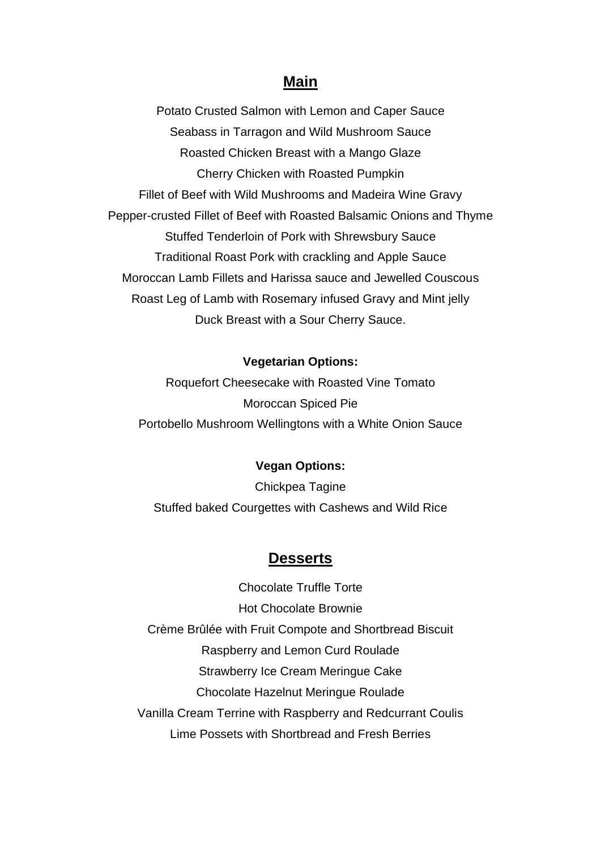### **Main**

Potato Crusted Salmon with Lemon and Caper Sauce Seabass in Tarragon and Wild Mushroom Sauce Roasted Chicken Breast with a Mango Glaze Cherry Chicken with Roasted Pumpkin Fillet of Beef with Wild Mushrooms and Madeira Wine Gravy Pepper-crusted Fillet of Beef with Roasted Balsamic Onions and Thyme Stuffed Tenderloin of Pork with Shrewsbury Sauce Traditional Roast Pork with crackling and Apple Sauce Moroccan Lamb Fillets and Harissa sauce and Jewelled Couscous Roast Leg of Lamb with Rosemary infused Gravy and Mint jelly Duck Breast with a Sour Cherry Sauce.

#### **Vegetarian Options:**

Roquefort Cheesecake with Roasted Vine Tomato Moroccan Spiced Pie Portobello Mushroom Wellingtons with a White Onion Sauce

#### **Vegan Options:**

Chickpea Tagine Stuffed baked Courgettes with Cashews and Wild Rice

### **Desserts**

Chocolate Truffle Torte Hot Chocolate Brownie Crème Brûlée with Fruit Compote and Shortbread Biscuit Raspberry and Lemon Curd Roulade Strawberry Ice Cream Meringue Cake Chocolate Hazelnut Meringue Roulade Vanilla Cream Terrine with Raspberry and Redcurrant Coulis Lime Possets with Shortbread and Fresh Berries